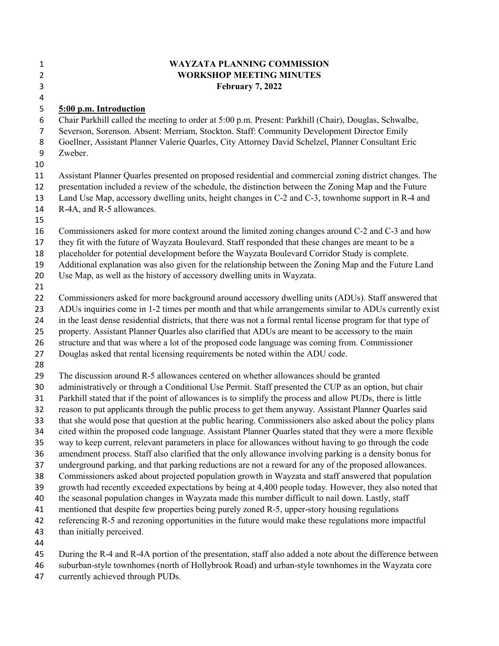| $\mathbf{1}$   | <b>WAYZATA PLANNING COMMISSION</b>                                                                            |
|----------------|---------------------------------------------------------------------------------------------------------------|
| $\overline{2}$ | <b>WORKSHOP MEETING MINUTES</b>                                                                               |
| 3              | <b>February 7, 2022</b>                                                                                       |
| 4              |                                                                                                               |
| 5              | 5:00 p.m. Introduction                                                                                        |
| 6              | Chair Parkhill called the meeting to order at 5:00 p.m. Present: Parkhill (Chair), Douglas, Schwalbe,         |
| $\overline{7}$ | Severson, Sorenson. Absent: Merriam, Stockton. Staff: Community Development Director Emily                    |
| 8              | Goellner, Assistant Planner Valerie Quarles, City Attorney David Schelzel, Planner Consultant Eric            |
| 9              | Zweber.                                                                                                       |
| 10             |                                                                                                               |
| 11             | Assistant Planner Quarles presented on proposed residential and commercial zoning district changes. The       |
| 12             | presentation included a review of the schedule, the distinction between the Zoning Map and the Future         |
| 13             | Land Use Map, accessory dwelling units, height changes in C-2 and C-3, townhome support in R-4 and            |
| 14             | R-4A, and R-5 allowances.                                                                                     |
| 15             |                                                                                                               |
| 16             | Commissioners asked for more context around the limited zoning changes around C-2 and C-3 and how             |
| 17             | they fit with the future of Wayzata Boulevard. Staff responded that these changes are meant to be a           |
| 18             | placeholder for potential development before the Wayzata Boulevard Corridor Study is complete.                |
| 19             | Additional explanation was also given for the relationship between the Zoning Map and the Future Land         |
| 20             | Use Map, as well as the history of accessory dwelling units in Wayzata.                                       |
| 21<br>22       | Commissioners asked for more background around accessory dwelling units (ADUs). Staff answered that           |
| 23             | ADUs inquiries come in 1-2 times per month and that while arrangements similar to ADUs currently exist        |
| 24             | in the least dense residential districts, that there was not a formal rental license program for that type of |
| 25             | property. Assistant Planner Quarles also clarified that ADUs are meant to be accessory to the main            |
| 26             | structure and that was where a lot of the proposed code language was coming from. Commissioner                |
| 27             | Douglas asked that rental licensing requirements be noted within the ADU code.                                |
| 28             |                                                                                                               |
| 29             | The discussion around R-5 allowances centered on whether allowances should be granted                         |
| 30             | administratively or through a Conditional Use Permit. Staff presented the CUP as an option, but chair         |
| 31             | Parkhill stated that if the point of allowances is to simplify the process and allow PUDs, there is little    |
| 32             | reason to put applicants through the public process to get them anyway. Assistant Planner Quarles said        |
| 33             | that she would pose that question at the public hearing. Commissioners also asked about the policy plans      |
| 34             | cited within the proposed code language. Assistant Planner Quarles stated that they were a more flexible      |
| 35             | way to keep current, relevant parameters in place for allowances without having to go through the code        |
| 36             | amendment process. Staff also clarified that the only allowance involving parking is a density bonus for      |
| 37             | underground parking, and that parking reductions are not a reward for any of the proposed allowances.         |
| 38             | Commissioners asked about projected population growth in Wayzata and staff answered that population           |
| 39             | growth had recently exceeded expectations by being at 4,400 people today. However, they also noted that       |
| 40             | the seasonal population changes in Wayzata made this number difficult to nail down. Lastly, staff             |
| 41             | mentioned that despite few properties being purely zoned R-5, upper-story housing regulations                 |
| 42             | referencing R-5 and rezoning opportunities in the future would make these regulations more impactful          |
| 43             | than initially perceived.                                                                                     |
| 44             |                                                                                                               |
| 45             | During the R-4 and R-4A portion of the presentation, staff also added a note about the difference between     |
| 46             | suburban-style townhomes (north of Hollybrook Road) and urban-style townhomes in the Wayzata core             |
| 47             | currently achieved through PUDs.                                                                              |

suburban-style townhomes (north of<br>currently achieved through PUDs.